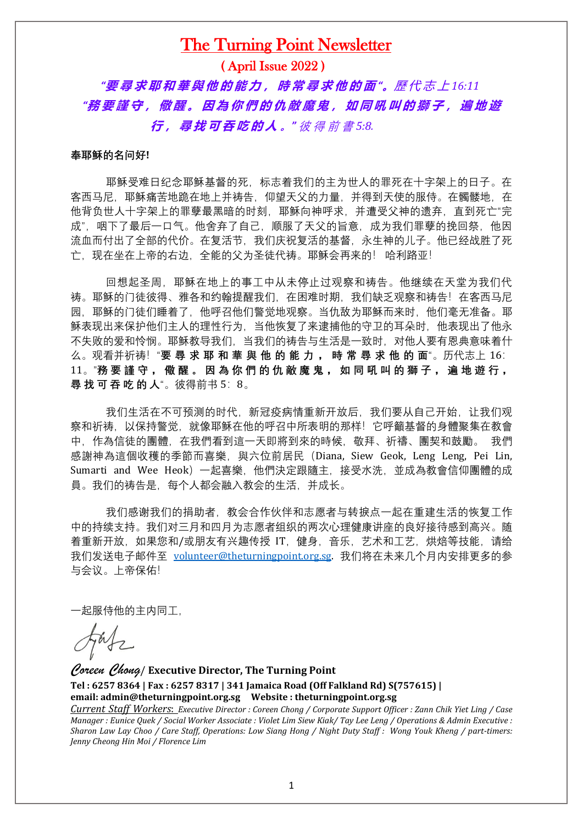## The Turning Point Newsletter

( April Issue 2022 )

 *"***要 尋 求 耶 和 華 與 他 的 能 力 , 時 常 尋 求 他 的 面** *"***。**歷 代 志 上 *16:11* "務要謹守,儆醒。因為你們的仇敵魔鬼,如同吼叫的獅子,遍地遊 **行 , 尋 找 可 吞 吃 的 人 。***"* 彼 得 前 書 *5:8.*

#### **奉耶稣的名问好!**

耶稣受难日纪念耶稣基督的死,标志着我们的主为世人的罪死在十字架上的日子。在 客西马尼,耶稣痛苦地跪在地上并祷告,仰望天父的力量,并得到天使的服侍。在髑髅地,在 他背负世人十字架上的罪孽最黑暗的时刻,耶稣向神呼求,并遭受父神的遗弃,直到死亡"完 成",咽下了最后一口气。他舍弃了自己,顺服了天父的旨意,成为我们罪孽的挽回祭,他因 流血而付出了全部的代价。在复活节,我们庆祝复活的基督,永生神的儿子。他已经战胜了死 亡,现在坐在上帝的右边,全能的父为圣徒代祷。耶稣会再来的! 哈利路亚!

回想起圣周,耶稣在地上的事工中从未停止过观察和祷告。他继续在天堂为我们代 祷。耶稣的门徒彼得、雅各和约翰提醒我们,在困难时期,我们缺乏观察和祷告!在客西马尼 园,耶稣的门徒们睡着了,他呼召他们警觉地观察。当仇敌为耶稣而来时,他们毫无准备。耶 稣表现出来保护他们主人的理性行为,当他恢复了来逮捕他的守卫的耳朵时,他表现出了他永 不失败的爱和怜悯。耶稣教导我们,当我们的祷告与生活是一致时,对他人要有恩典意味着什 么。观看并祈祷!"**要 尋 求 耶 和 華 與 他 的 能 力 , 時 常 尋 求 他 的 面**"。历代志上 16: 11。"務要 謹 守, 儆 醒 。 因 為 你 們 的 仇 敵 魔 鬼, 如 同 吼 叫 的 獅 子, 遍 地 遊 行, **尋 找 可 吞 吃 的 人**"。彼得前书 5:8。

我们生活在不可预测的时代,新冠疫病情重新开放后,我们要从自己开始,让我们观 察和祈祷,以保持警觉,就像耶稣在他的呼召中所表明的那样!它呼籲基督的身體聚集在教會 中,作為信徒的團體,在我們看到這一天即將到來的時候,敬拜、祈禱、團契和鼓勵。 我們 感謝神為這個收穫的季節而喜樂,與六位前居民(Diana, Siew Geok, Leng Leng, Pei Lin, Sumarti and Wee Heok)一起喜樂,他們決定跟隨主,接受水洗,並成為教會信仰團體的成 員。我们的祷告是,每个人都会融入教会的生活,并成长。

我们感谢我们的捐助者,教会合作伙伴和志愿者与转捩点一起在重建生活的恢复工作 中的持续支持。我们对三月和四月为志愿者组织的两次心理健康讲座的良好接待感到高兴。随 着重新开放,如果您和/或朋友有兴趣传授 IT,健身,音乐,艺术和工艺,烘焙等技能,请给 我们发送电子邮件至 [volunteer@theturningpoint.org.sg.](mailto:volunteer@theturningpoint.org.sg) 我们将在未来几个月内安排更多的参 与会议。上帝保佑!

一起服侍他的主内同工,

*Coreen Chong*/ **Executive Director, The Turning Point Tel : 6257 8364 | Fax : 6257 8317 | 341 Jamaica Road (Off Falkland Rd) S(757615) | email: admin@theturningpoint.org.sg Website : theturningpoint.org.sg** 

*Current Staff Workers*: *Executive Director : Coreen Chong / Corporate Support Officer : Zann Chik Yiet Ling / Case Manager : Eunice Quek / Social Worker Associate : Violet Lim Siew Kiak/ Tay Lee Leng / Operations & Admin Executive : Sharon Law Lay Choo / Care Staff, Operations: Low Siang Hong / Night Duty Staff : Wong Youk Kheng / part-timers: Jenny Cheong Hin Moi / Florence Lim*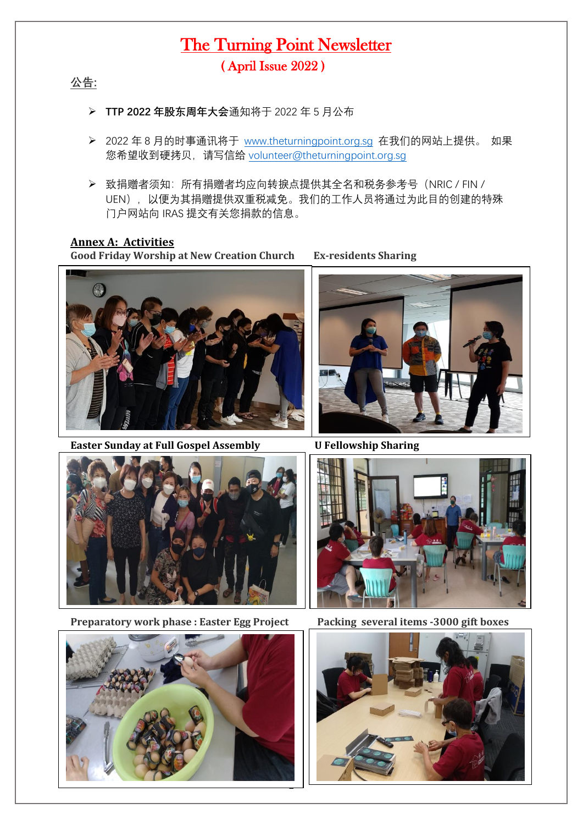## The Turning Point Newsletter ( April Issue 2022 )

**公告:**

- ➢ **TTP 2022 年股东周年大会**通知将于 2022 年 5 月公布
- ➢ 2022 年 8 月的时事通讯将于 [www.theturningpoint.org.sg](http://www.theturningpoint.org.sg/) 在我们的网站上提供。 如果 您希望收到硬拷贝, 请写信给 [volunteer@theturningpoint.org.sg](mailto:volunteer@theturningpoint.org.sg)
- ➢ 致捐赠者须知:所有捐赠者均应向转捩点提供其全名和税务参考号(NRIC / FIN / UEN), 以便为其捐赠提供双重税减免。我们的工作人员将通过为此目的创建的特殊 门户网站向 IRAS 提交有关您捐款的信息。

### **Annex A: Activities**

**Good Friday Worship at New Creation Church Ex-residents Sharing**



**Easter Sunday at Full Gospel Assembly U Fellowship Sharing** 





**Preparatory work phase : Easter Egg Project Packing several items -3000 gift boxes** 





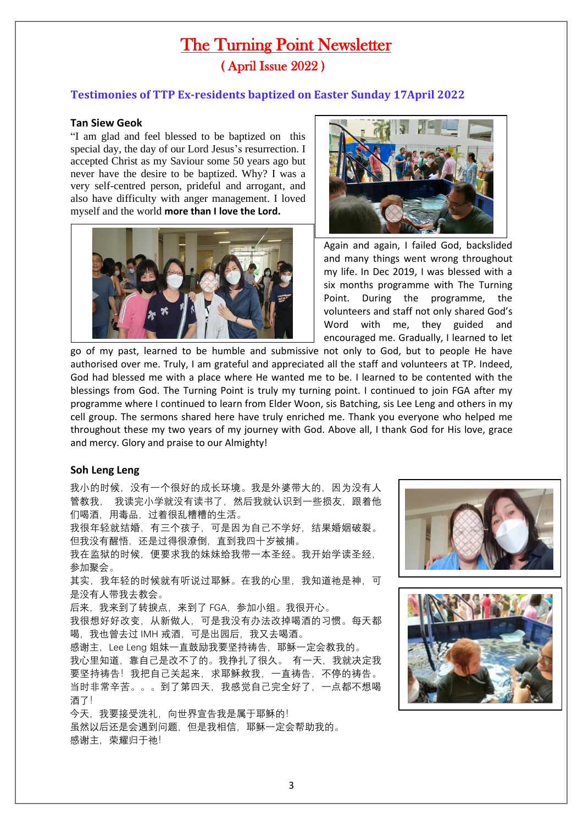# The Turning Point Newsletter ( April Issue 2022 )

### **Testimonies of TTP Ex-residents baptized on Easter Sunday 17April 2022**

### **Tan Siew Geok**

"I am glad and feel blessed to be baptized on this special day, the day of our Lord Jesus's resurrection. I accepted Christ as my Saviour some 50 years ago but never have the desire to be baptized. Why? I was a very self-centred person, prideful and arrogant, and also have difficulty with anger management. I loved myself and the world **more than I love the Lord.** 





Again and again, I failed God, backslided and many things went wrong throughout my life. In Dec 2019, I was blessed with a six months programme with The Turning Point. During the programme, the volunteers and staff not only shared God's Word with me, they guided and encouraged me. Gradually, I learned to let

go of my past, learned to be humble and submissive not only to God, but to people He have authorised over me. Truly, I am grateful and appreciated all the staff and volunteers at TP. Indeed, God had blessed me with a place where He wanted me to be. I learned to be contented with the blessings from God. The Turning Point is truly my turning point. I continued to join FGA after my programme where I continued to learn from Elder Woon, sis Batching, sis Lee Leng and others in my cell group. The sermons shared here have truly enriched me. Thank you everyone who helped me throughout these my two years of my journey with God. Above all, I thank God for His love, grace and mercy. Glory and praise to our Almighty!

#### **Soh Leng Leng**

我小的时候,没有一个很好的成长环境。我是外婆带大的,因为没有人 管教我, 我读完小学就没有读书了,然后我就认识到一些损友,跟着他 们喝酒,用毒品,过着很乱糟糟的生活。 我很年轻就结婚,有三个孩子,可是因为自己不学好,结果婚姻破裂。 但我没有醒悟,还是过得很潦倒,直到我四十岁被捕。 我在监狱的时候,便要求我的妹妹给我带一本圣经。我开始学读圣经, 参加聚会。 其实,我年轻的时候就有听说过耶稣。在我的心里,我知道祂是神,可 是没有人带我去教会。 后来,我来到了转捩点,来到了 FGA,参加小组。我很开心。 我很想好好改变,从新做人,可是我没有办法改掉喝酒的习惯。每天都 喝,我也曾去过 IMH 戒酒,可是出园后,我又去喝酒。 感谢主, Lee Leng 姐妹一直鼓励我要坚持祷告, 耶稣一定会教我的。 我心里知道,靠自己是改不了的。我挣扎了很久。 有一天,我就决定我 要坚持祷告!我把自己关起来,求耶稣救我,一直祷告,不停的祷告。 当时非常辛苦。。。到了第四天,我感觉自己完全好了,一点都不想喝 酒了! 今天,我要接受洗礼,向世界宣告我是属于耶稣的! 虽然以后还是会遇到问题,但是我相信,耶稣一定会帮助我的。 感谢主, 荣耀归于祂!